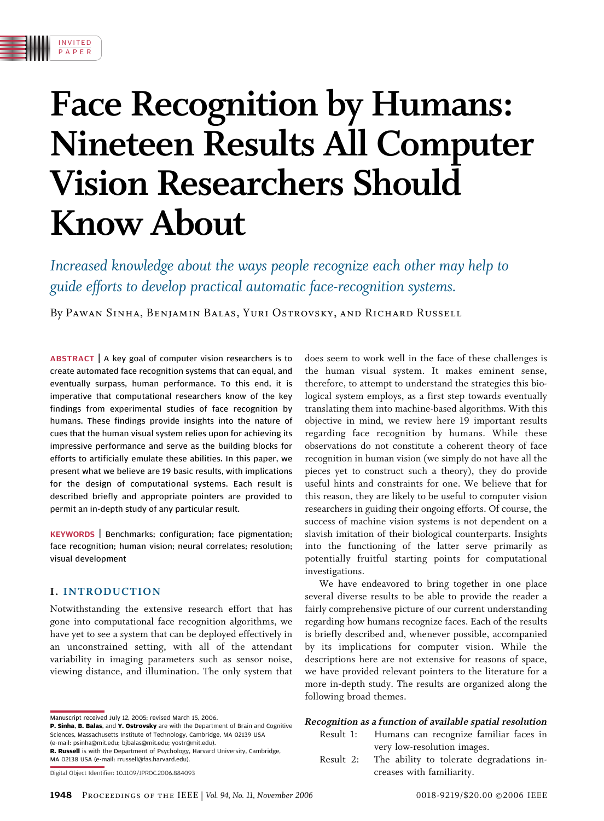

Increased knowledge about the ways people recognize each other may help to guide efforts to develop practical automatic face-recognition systems.

By Pawan Sinha, Benjamin Balas, Yuri Ostrovsky, and Richard Russell

ABSTRACT | A key goal of computer vision researchers is to create automated face recognition systems that can equal, and eventually surpass, human performance. To this end, it is imperative that computational researchers know of the key findings from experimental studies of face recognition by humans. These findings provide insights into the nature of cues that the human visual system relies upon for achieving its impressive performance and serve as the building blocks for efforts to artificially emulate these abilities. In this paper, we present what we believe are 19 basic results, with implications for the design of computational systems. Each result is described briefly and appropriate pointers are provided to permit an in-depth study of any particular result.

KEYWORDS | Benchmarks; configuration; face pigmentation; face recognition; human vision; neural correlates; resolution; visual development

# I. INTRODUCTION

INVITED PAPER

Notwithstanding the extensive research effort that has gone into computational face recognition algorithms, we have yet to see a system that can be deployed effectively in an unconstrained setting, with all of the attendant variability in imaging parameters such as sensor noise, viewing distance, and illumination. The only system that

Manuscript received July 12, 2005; revised March 15, 2006.

Digital Object Identifier: 10.1109/JPROC.2006.884093

does seem to work well in the face of these challenges is the human visual system. It makes eminent sense, therefore, to attempt to understand the strategies this biological system employs, as a first step towards eventually translating them into machine-based algorithms. With this objective in mind, we review here 19 important results regarding face recognition by humans. While these observations do not constitute a coherent theory of face recognition in human vision (we simply do not have all the pieces yet to construct such a theory), they do provide useful hints and constraints for one. We believe that for this reason, they are likely to be useful to computer vision researchers in guiding their ongoing efforts. Of course, the success of machine vision systems is not dependent on a slavish imitation of their biological counterparts. Insights into the functioning of the latter serve primarily as potentially fruitful starting points for computational investigations.

We have endeavored to bring together in one place several diverse results to be able to provide the reader a fairly comprehensive picture of our current understanding regarding how humans recognize faces. Each of the results is briefly described and, whenever possible, accompanied by its implications for computer vision. While the descriptions here are not extensive for reasons of space, we have provided relevant pointers to the literature for a more in-depth study. The results are organized along the following broad themes.

#### Recognition as a function of available spatial resolution

- Result 1: Humans can recognize familiar faces in very low-resolution images.
- Result 2: The ability to tolerate degradations increases with familiarity.

P. Sinha, B. Balas, and Y. Ostrovsky are with the Department of Brain and Cognitive Sciences, Massachusetts Institute of Technology, Cambridge, MA 02139 USA (e-mail: psinha@mit.edu; bjbalas@mit.edu; yostr@mit.edu).

R. Russell is with the Department of Psychology, Harvard University, Cambridge, MA 02138 USA (e-mail: rrussell@fas.harvard.edu).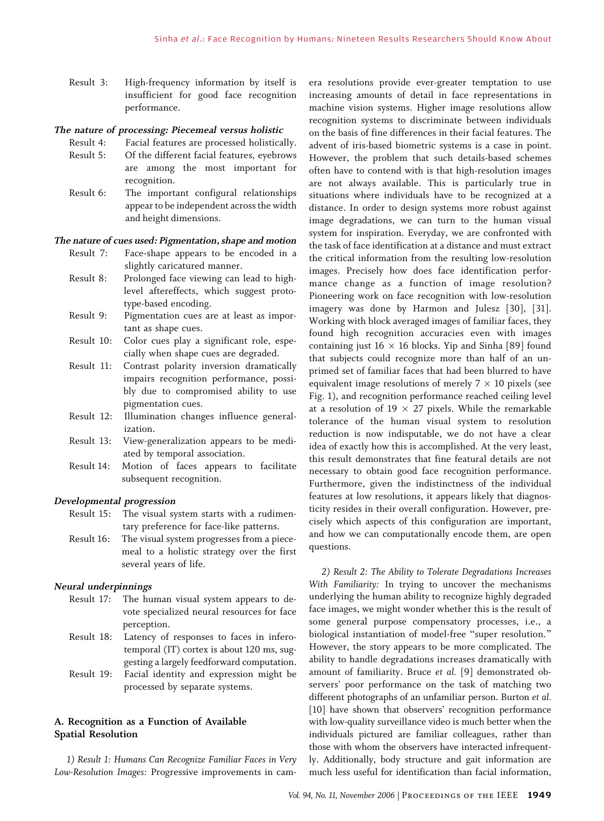Result 3: High-frequency information by itself is insufficient for good face recognition performance.

#### The nature of processing: Piecemeal versus holistic

- Result 4: Facial features are processed holistically.
- Result 5: Of the different facial features, eyebrows are among the most important for recognition.
- Result 6: The important configural relationships appear to be independent across the width and height dimensions.

#### The nature of cues used: Pigmentation, shape and motion

- Result 7: Face-shape appears to be encoded in a slightly caricatured manner.
- Result 8: Prolonged face viewing can lead to highlevel aftereffects, which suggest prototype-based encoding.
- Result 9: Pigmentation cues are at least as important as shape cues.
- Result 10: Color cues play a significant role, especially when shape cues are degraded.
- Result 11: Contrast polarity inversion dramatically impairs recognition performance, possibly due to compromised ability to use pigmentation cues.
- Result 12: Illumination changes influence generalization.
- Result 13: View-generalization appears to be mediated by temporal association.
- Result 14: Motion of faces appears to facilitate subsequent recognition.

# Developmental progression

- Result 15: The visual system starts with a rudimentary preference for face-like patterns.
- Result 16: The visual system progresses from a piecemeal to a holistic strategy over the first several years of life.

# Neural underpinnings

- Result 17: The human visual system appears to devote specialized neural resources for face perception.
- Result 18: Latency of responses to faces in inferotemporal (IT) cortex is about 120 ms, suggesting a largely feedforward computation.
- Result 19: Facial identity and expression might be processed by separate systems.

# A. Recognition as a Function of Available Spatial Resolution

1) Result 1: Humans Can Recognize Familiar Faces in Very Low-Resolution Images: Progressive improvements in camera resolutions provide ever-greater temptation to use increasing amounts of detail in face representations in machine vision systems. Higher image resolutions allow recognition systems to discriminate between individuals on the basis of fine differences in their facial features. The advent of iris-based biometric systems is a case in point. However, the problem that such details-based schemes often have to contend with is that high-resolution images are not always available. This is particularly true in situations where individuals have to be recognized at a distance. In order to design systems more robust against image degradations, we can turn to the human visual system for inspiration. Everyday, we are confronted with the task of face identification at a distance and must extract the critical information from the resulting low-resolution images. Precisely how does face identification performance change as a function of image resolution? Pioneering work on face recognition with low-resolution imagery was done by Harmon and Julesz [30], [31]. Working with block averaged images of familiar faces, they found high recognition accuracies even with images containing just  $16 \times 16$  blocks. Yip and Sinha [89] found that subjects could recognize more than half of an unprimed set of familiar faces that had been blurred to have equivalent image resolutions of merely  $7 \times 10$  pixels (see Fig. 1), and recognition performance reached ceiling level at a resolution of 19  $\times$  27 pixels. While the remarkable tolerance of the human visual system to resolution reduction is now indisputable, we do not have a clear idea of exactly how this is accomplished. At the very least, this result demonstrates that fine featural details are not necessary to obtain good face recognition performance. Furthermore, given the indistinctness of the individual features at low resolutions, it appears likely that diagnosticity resides in their overall configuration. However, precisely which aspects of this configuration are important, and how we can computationally encode them, are open questions.

2) Result 2: The Ability to Tolerate Degradations Increases With Familiarity: In trying to uncover the mechanisms underlying the human ability to recognize highly degraded face images, we might wonder whether this is the result of some general purpose compensatory processes, i.e., a biological instantiation of model-free "super resolution." However, the story appears to be more complicated. The ability to handle degradations increases dramatically with amount of familiarity. Bruce et al. [9] demonstrated observers' poor performance on the task of matching two different photographs of an unfamiliar person. Burton et al. [10] have shown that observers' recognition performance with low-quality surveillance video is much better when the individuals pictured are familiar colleagues, rather than those with whom the observers have interacted infrequently. Additionally, body structure and gait information are much less useful for identification than facial information,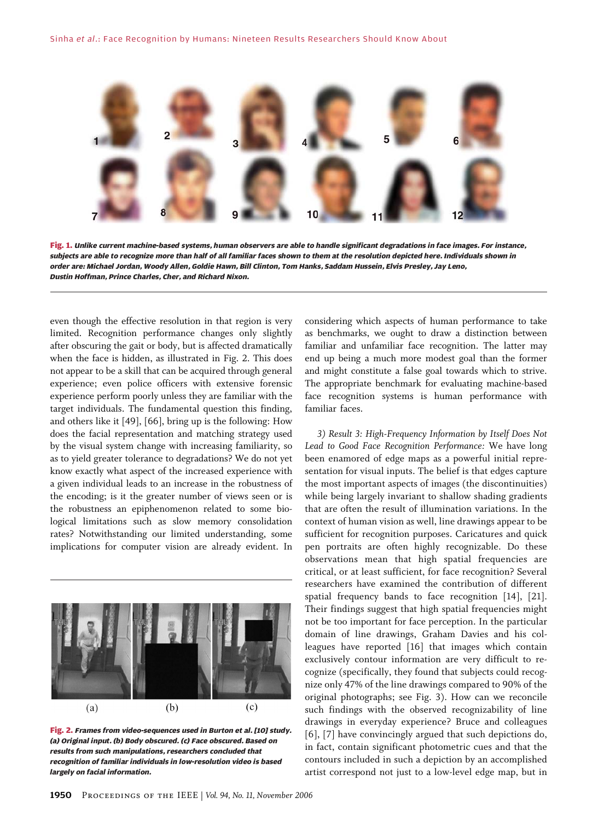

Fig. 1. Unlike current machine-based systems, human observers are able to handle significant degradations in face images. For instance, subjects are able to recognize more than half of all familiar faces shown to them at the resolution depicted here. Individuals shown in order are: Michael Jordan, Woody Allen, Goldie Hawn, Bill Clinton, Tom Hanks, Saddam Hussein, Elvis Presley, Jay Leno, Dustin Hoffman, Prince Charles, Cher, and Richard Nixon.

even though the effective resolution in that region is very limited. Recognition performance changes only slightly after obscuring the gait or body, but is affected dramatically when the face is hidden, as illustrated in Fig. 2. This does not appear to be a skill that can be acquired through general experience; even police officers with extensive forensic experience perform poorly unless they are familiar with the target individuals. The fundamental question this finding, and others like it [49], [66], bring up is the following: How does the facial representation and matching strategy used by the visual system change with increasing familiarity, so as to yield greater tolerance to degradations? We do not yet know exactly what aspect of the increased experience with a given individual leads to an increase in the robustness of the encoding; is it the greater number of views seen or is the robustness an epiphenomenon related to some biological limitations such as slow memory consolidation rates? Notwithstanding our limited understanding, some implications for computer vision are already evident. In



Fig. 2. Frames from video-sequences used in Burton et al. [10] study. (a) Original input. (b) Body obscured. (c) Face obscured. Based on results from such manipulations, researchers concluded that recognition of familiar individuals in low-resolution video is based largely on facial information.

considering which aspects of human performance to take as benchmarks, we ought to draw a distinction between familiar and unfamiliar face recognition. The latter may end up being a much more modest goal than the former and might constitute a false goal towards which to strive. The appropriate benchmark for evaluating machine-based face recognition systems is human performance with familiar faces.

3) Result 3: High-Frequency Information by Itself Does Not Lead to Good Face Recognition Performance: We have long been enamored of edge maps as a powerful initial representation for visual inputs. The belief is that edges capture the most important aspects of images (the discontinuities) while being largely invariant to shallow shading gradients that are often the result of illumination variations. In the context of human vision as well, line drawings appear to be sufficient for recognition purposes. Caricatures and quick pen portraits are often highly recognizable. Do these observations mean that high spatial frequencies are critical, or at least sufficient, for face recognition? Several researchers have examined the contribution of different spatial frequency bands to face recognition [14], [21]. Their findings suggest that high spatial frequencies might not be too important for face perception. In the particular domain of line drawings, Graham Davies and his colleagues have reported [16] that images which contain exclusively contour information are very difficult to recognize (specifically, they found that subjects could recognize only 47% of the line drawings compared to 90% of the original photographs; see Fig. 3). How can we reconcile such findings with the observed recognizability of line drawings in everyday experience? Bruce and colleagues [6], [7] have convincingly argued that such depictions do, in fact, contain significant photometric cues and that the contours included in such a depiction by an accomplished artist correspond not just to a low-level edge map, but in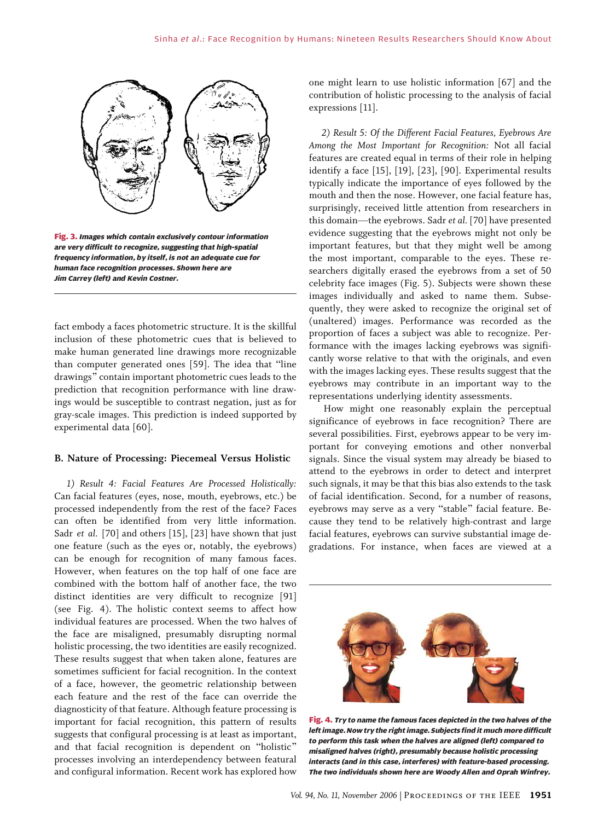

Fig. 3. Images which contain exclusively contour information are very difficult to recognize, suggesting that high-spatial frequency information, by itself, is not an adequate cue for human face recognition processes. Shown here are Jim Carrey (left) and Kevin Costner.

fact embody a faces photometric structure. It is the skillful inclusion of these photometric cues that is believed to make human generated line drawings more recognizable than computer generated ones [59]. The idea that "line drawings" contain important photometric cues leads to the prediction that recognition performance with line drawings would be susceptible to contrast negation, just as for gray-scale images. This prediction is indeed supported by experimental data [60].

## B. Nature of Processing: Piecemeal Versus Holistic

1) Result 4: Facial Features Are Processed Holistically: Can facial features (eyes, nose, mouth, eyebrows, etc.) be processed independently from the rest of the face? Faces can often be identified from very little information. Sadr et al. [70] and others [15], [23] have shown that just one feature (such as the eyes or, notably, the eyebrows) can be enough for recognition of many famous faces. However, when features on the top half of one face are combined with the bottom half of another face, the two distinct identities are very difficult to recognize [91] (see Fig. 4). The holistic context seems to affect how individual features are processed. When the two halves of the face are misaligned, presumably disrupting normal holistic processing, the two identities are easily recognized. These results suggest that when taken alone, features are sometimes sufficient for facial recognition. In the context of a face, however, the geometric relationship between each feature and the rest of the face can override the diagnosticity of that feature. Although feature processing is important for facial recognition, this pattern of results suggests that configural processing is at least as important, and that facial recognition is dependent on "holistic" processes involving an interdependency between featural and configural information. Recent work has explored how

one might learn to use holistic information [67] and the contribution of holistic processing to the analysis of facial expressions [11].

2) Result 5: Of the Different Facial Features, Eyebrows Are Among the Most Important for Recognition: Not all facial features are created equal in terms of their role in helping identify a face [15], [19], [23], [90]. Experimental results typically indicate the importance of eyes followed by the mouth and then the nose. However, one facial feature has, surprisingly, received little attention from researchers in this domain-the eyebrows. Sadr et al. [70] have presented evidence suggesting that the eyebrows might not only be important features, but that they might well be among the most important, comparable to the eyes. These researchers digitally erased the eyebrows from a set of 50 celebrity face images (Fig. 5). Subjects were shown these images individually and asked to name them. Subsequently, they were asked to recognize the original set of (unaltered) images. Performance was recorded as the proportion of faces a subject was able to recognize. Performance with the images lacking eyebrows was significantly worse relative to that with the originals, and even with the images lacking eyes. These results suggest that the eyebrows may contribute in an important way to the representations underlying identity assessments.

How might one reasonably explain the perceptual significance of eyebrows in face recognition? There are several possibilities. First, eyebrows appear to be very important for conveying emotions and other nonverbal signals. Since the visual system may already be biased to attend to the eyebrows in order to detect and interpret such signals, it may be that this bias also extends to the task of facial identification. Second, for a number of reasons, eyebrows may serve as a very "stable" facial feature. Because they tend to be relatively high-contrast and large facial features, eyebrows can survive substantial image degradations. For instance, when faces are viewed at a



Fig. 4. Try to name the famous faces depicted in the two halves of the left image. Now try the right image. Subjects find it much more difficult to perform this task when the halves are aligned (left) compared to misaligned halves (right), presumably because holistic processing interacts (and in this case, interferes) with feature-based processing. The two individuals shown here are Woody Allen and Oprah Winfrey.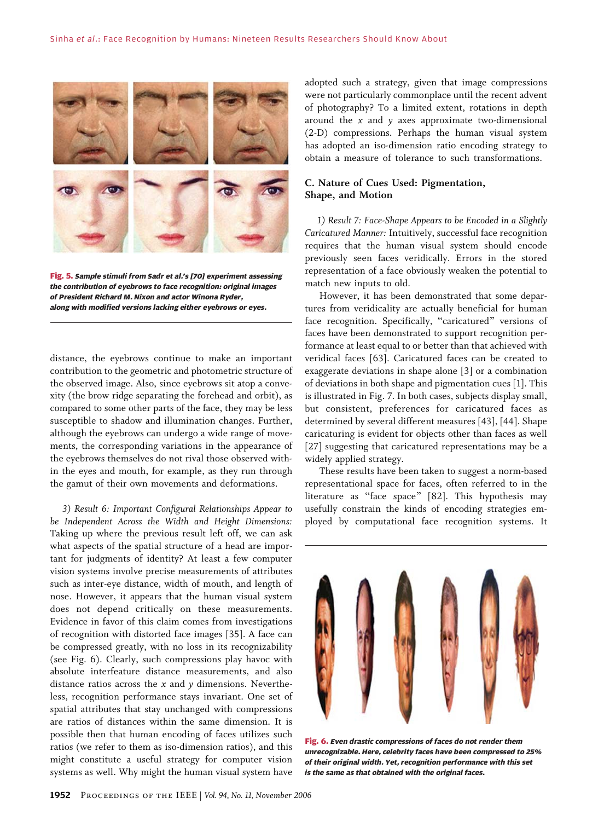

Fig. 5. Sample stimuli from Sadr et al.'s [70] experiment assessing the contribution of eyebrows to face recognition: original images of President Richard M. Nixon and actor Winona Ryder, along with modified versions lacking either eyebrows or eyes.

distance, the eyebrows continue to make an important contribution to the geometric and photometric structure of the observed image. Also, since eyebrows sit atop a convexity (the brow ridge separating the forehead and orbit), as compared to some other parts of the face, they may be less susceptible to shadow and illumination changes. Further, although the eyebrows can undergo a wide range of movements, the corresponding variations in the appearance of the eyebrows themselves do not rival those observed within the eyes and mouth, for example, as they run through the gamut of their own movements and deformations.

3) Result 6: Important Configural Relationships Appear to be Independent Across the Width and Height Dimensions: Taking up where the previous result left off, we can ask what aspects of the spatial structure of a head are important for judgments of identity? At least a few computer vision systems involve precise measurements of attributes such as inter-eye distance, width of mouth, and length of nose. However, it appears that the human visual system does not depend critically on these measurements. Evidence in favor of this claim comes from investigations of recognition with distorted face images [35]. A face can be compressed greatly, with no loss in its recognizability (see Fig. 6). Clearly, such compressions play havoc with absolute interfeature distance measurements, and also distance ratios across the  $x$  and  $y$  dimensions. Nevertheless, recognition performance stays invariant. One set of spatial attributes that stay unchanged with compressions are ratios of distances within the same dimension. It is possible then that human encoding of faces utilizes such ratios (we refer to them as iso-dimension ratios), and this might constitute a useful strategy for computer vision systems as well. Why might the human visual system have

adopted such a strategy, given that image compressions were not particularly commonplace until the recent advent of photography? To a limited extent, rotations in depth around the  $x$  and  $y$  axes approximate two-dimensional (2-D) compressions. Perhaps the human visual system has adopted an iso-dimension ratio encoding strategy to obtain a measure of tolerance to such transformations.

# C. Nature of Cues Used: Pigmentation, Shape, and Motion

1) Result 7: Face-Shape Appears to be Encoded in a Slightly Caricatured Manner: Intuitively, successful face recognition requires that the human visual system should encode previously seen faces veridically. Errors in the stored representation of a face obviously weaken the potential to match new inputs to old.

However, it has been demonstrated that some departures from veridicality are actually beneficial for human face recognition. Specifically, "caricatured" versions of faces have been demonstrated to support recognition performance at least equal to or better than that achieved with veridical faces [63]. Caricatured faces can be created to exaggerate deviations in shape alone [3] or a combination of deviations in both shape and pigmentation cues [1]. This is illustrated in Fig. 7. In both cases, subjects display small, but consistent, preferences for caricatured faces as determined by several different measures [43], [44]. Shape caricaturing is evident for objects other than faces as well [27] suggesting that caricatured representations may be a widely applied strategy.

These results have been taken to suggest a norm-based representational space for faces, often referred to in the literature as "face space"  $[82]$ . This hypothesis may usefully constrain the kinds of encoding strategies employed by computational face recognition systems. It



Fig. 6. Even drastic compressions of faces do not render them unrecognizable. Here, celebrity faces have been compressed to 25% of their original width. Yet, recognition performance with this set is the same as that obtained with the original faces.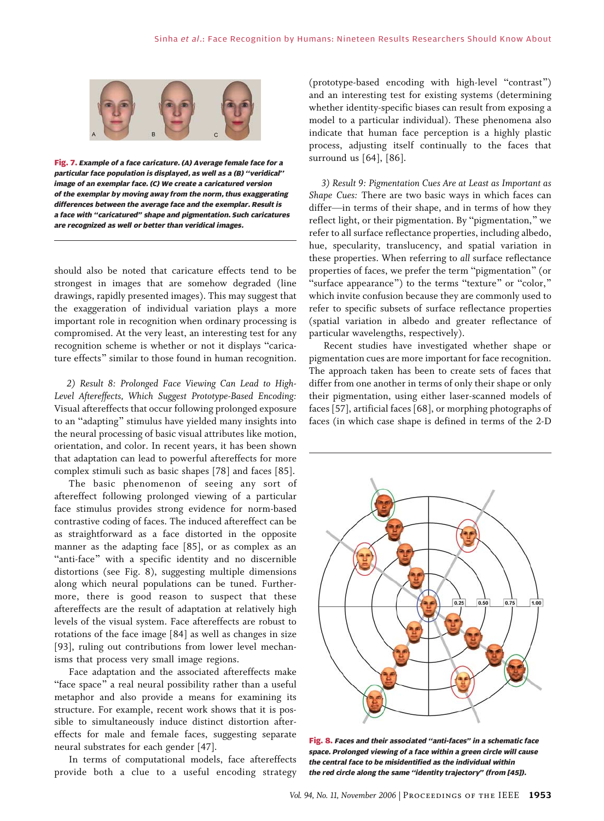

Fig. 7. Example of a face caricature. (A) Average female face for a particular face population is displayed, as well as a (B) ''veridical'' image of an exemplar face. (C) We create a caricatured version of the exemplar by moving away from the norm, thus exaggerating differences between the average face and the exemplar. Result is a face with ''caricatured'' shape and pigmentation. Such caricatures are recognized as well or better than veridical images.

should also be noted that caricature effects tend to be strongest in images that are somehow degraded (line drawings, rapidly presented images). This may suggest that the exaggeration of individual variation plays a more important role in recognition when ordinary processing is compromised. At the very least, an interesting test for any recognition scheme is whether or not it displays "caricature effects" similar to those found in human recognition.

2) Result 8: Prolonged Face Viewing Can Lead to High-Level Aftereffects, Which Suggest Prototype-Based Encoding: Visual aftereffects that occur following prolonged exposure to an "adapting" stimulus have yielded many insights into the neural processing of basic visual attributes like motion, orientation, and color. In recent years, it has been shown that adaptation can lead to powerful aftereffects for more complex stimuli such as basic shapes [78] and faces [85].

The basic phenomenon of seeing any sort of aftereffect following prolonged viewing of a particular face stimulus provides strong evidence for norm-based contrastive coding of faces. The induced aftereffect can be as straightforward as a face distorted in the opposite manner as the adapting face [85], or as complex as an "anti-face" with a specific identity and no discernible distortions (see Fig. 8), suggesting multiple dimensions along which neural populations can be tuned. Furthermore, there is good reason to suspect that these aftereffects are the result of adaptation at relatively high levels of the visual system. Face aftereffects are robust to rotations of the face image [84] as well as changes in size [93], ruling out contributions from lower level mechanisms that process very small image regions.

Face adaptation and the associated aftereffects make "face space" a real neural possibility rather than a useful metaphor and also provide a means for examining its structure. For example, recent work shows that it is possible to simultaneously induce distinct distortion aftereffects for male and female faces, suggesting separate neural substrates for each gender [47].

In terms of computational models, face aftereffects provide both a clue to a useful encoding strategy (prototype-based encoding with high-level "contrast") and an interesting test for existing systems (determining whether identity-specific biases can result from exposing a model to a particular individual). These phenomena also indicate that human face perception is a highly plastic process, adjusting itself continually to the faces that surround us [64], [86].

3) Result 9: Pigmentation Cues Are at Least as Important as Shape Cues: There are two basic ways in which faces can differ-in terms of their shape, and in terms of how they reflect light, or their pigmentation. By "pigmentation," we refer to all surface reflectance properties, including albedo, hue, specularity, translucency, and spatial variation in these properties. When referring to all surface reflectance properties of faces, we prefer the term "pigmentation" (or "surface appearance") to the terms "texture" or "color," which invite confusion because they are commonly used to refer to specific subsets of surface reflectance properties (spatial variation in albedo and greater reflectance of particular wavelengths, respectively).

Recent studies have investigated whether shape or pigmentation cues are more important for face recognition. The approach taken has been to create sets of faces that differ from one another in terms of only their shape or only their pigmentation, using either laser-scanned models of faces [57], artificial faces [68], or morphing photographs of faces (in which case shape is defined in terms of the 2-D



Fig. 8. Faces and their associated ''anti-faces'' in a schematic face space. Prolonged viewing of a face within a green circle will cause the central face to be misidentified as the individual within the red circle along the same ''identity trajectory'' (from [45]).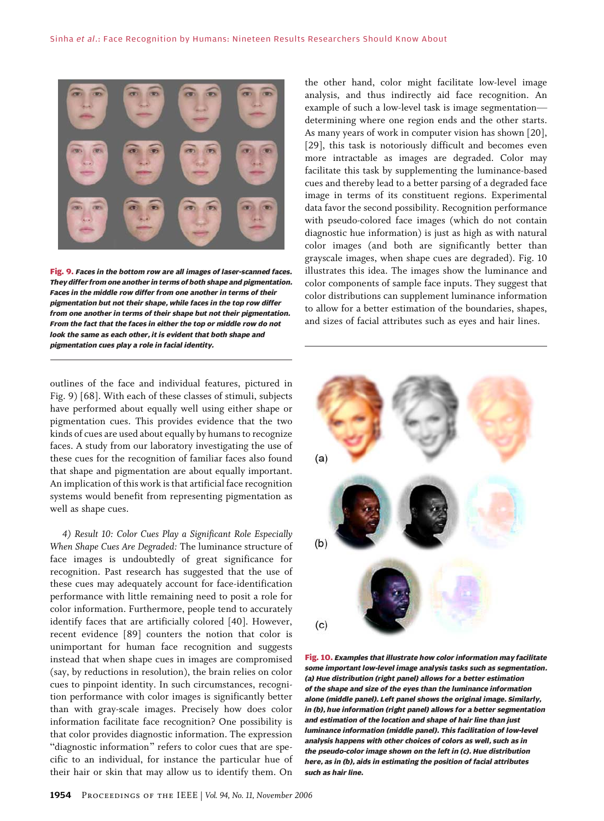

Fig. 9. Faces in the bottom row are all images of laser-scanned faces. They differ from one another in terms of both shape and pigmentation. Faces in the middle row differ from one another in terms of their pigmentation but not their shape, while faces in the top row differ from one another in terms of their shape but not their pigmentation. From the fact that the faces in either the top or middle row do not look the same as each other, it is evident that both shape and pigmentation cues play a role in facial identity.

outlines of the face and individual features, pictured in Fig. 9) [68]. With each of these classes of stimuli, subjects have performed about equally well using either shape or pigmentation cues. This provides evidence that the two kinds of cues are used about equally by humans to recognize faces. A study from our laboratory investigating the use of these cues for the recognition of familiar faces also found that shape and pigmentation are about equally important. An implication of this work is that artificial face recognition systems would benefit from representing pigmentation as well as shape cues.

4) Result 10: Color Cues Play a Significant Role Especially When Shape Cues Are Degraded: The luminance structure of face images is undoubtedly of great significance for recognition. Past research has suggested that the use of these cues may adequately account for face-identification performance with little remaining need to posit a role for color information. Furthermore, people tend to accurately identify faces that are artificially colored [40]. However, recent evidence [89] counters the notion that color is unimportant for human face recognition and suggests instead that when shape cues in images are compromised (say, by reductions in resolution), the brain relies on color cues to pinpoint identity. In such circumstances, recognition performance with color images is significantly better than with gray-scale images. Precisely how does color information facilitate face recognition? One possibility is that color provides diagnostic information. The expression "diagnostic information" refers to color cues that are specific to an individual, for instance the particular hue of their hair or skin that may allow us to identify them. On

the other hand, color might facilitate low-level image analysis, and thus indirectly aid face recognition. An example of such a low-level task is image segmentationdetermining where one region ends and the other starts. As many years of work in computer vision has shown [20], [29], this task is notoriously difficult and becomes even more intractable as images are degraded. Color may facilitate this task by supplementing the luminance-based cues and thereby lead to a better parsing of a degraded face image in terms of its constituent regions. Experimental data favor the second possibility. Recognition performance with pseudo-colored face images (which do not contain diagnostic hue information) is just as high as with natural color images (and both are significantly better than grayscale images, when shape cues are degraded). Fig. 10 illustrates this idea. The images show the luminance and color components of sample face inputs. They suggest that color distributions can supplement luminance information to allow for a better estimation of the boundaries, shapes, and sizes of facial attributes such as eyes and hair lines.



Fig. 10. Examples that illustrate how color information may facilitate some important low-level image analysis tasks such as segmentation. (a) Hue distribution (right panel) allows for a better estimation of the shape and size of the eyes than the luminance information alone (middle panel). Left panel shows the original image. Similarly, in (b), hue information (right panel) allows for a better segmentation and estimation of the location and shape of hair line than just luminance information (middle panel). This facilitation of low-level analysis happens with other choices of colors as well, such as in the pseudo-color image shown on the left in (c). Hue distribution here, as in (b), aids in estimating the position of facial attributes such as hair line.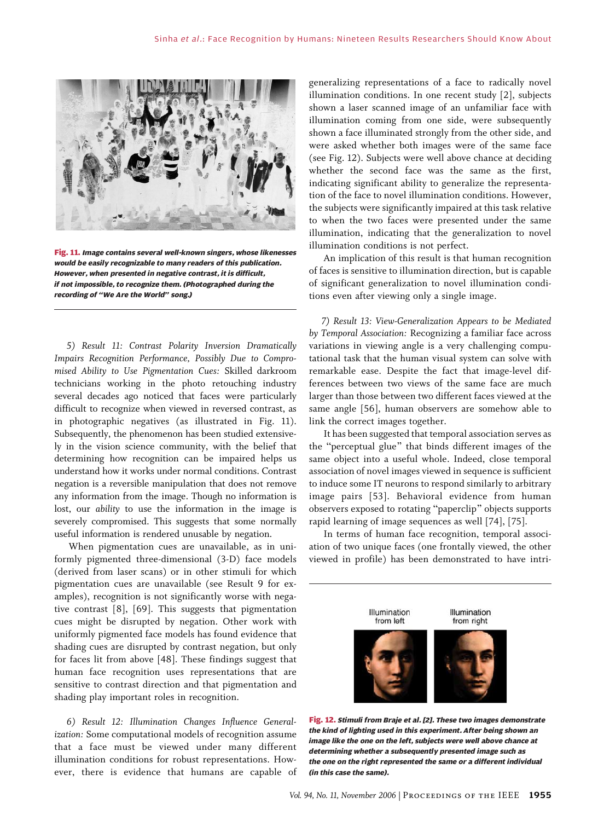

Fig. 11. Image contains several well-known singers, whose likenesses would be easily recognizable to many readers of this publication. However, when presented in negative contrast, it is difficult, if not impossible, to recognize them. (Photographed during the recording of ''We Are the World'' song.)

5) Result 11: Contrast Polarity Inversion Dramatically Impairs Recognition Performance, Possibly Due to Compromised Ability to Use Pigmentation Cues: Skilled darkroom technicians working in the photo retouching industry several decades ago noticed that faces were particularly difficult to recognize when viewed in reversed contrast, as in photographic negatives (as illustrated in Fig. 11). Subsequently, the phenomenon has been studied extensively in the vision science community, with the belief that determining how recognition can be impaired helps us understand how it works under normal conditions. Contrast negation is a reversible manipulation that does not remove any information from the image. Though no information is lost, our ability to use the information in the image is severely compromised. This suggests that some normally useful information is rendered unusable by negation.

When pigmentation cues are unavailable, as in uniformly pigmented three-dimensional (3-D) face models (derived from laser scans) or in other stimuli for which pigmentation cues are unavailable (see Result 9 for examples), recognition is not significantly worse with negative contrast [8], [69]. This suggests that pigmentation cues might be disrupted by negation. Other work with uniformly pigmented face models has found evidence that shading cues are disrupted by contrast negation, but only for faces lit from above [48]. These findings suggest that human face recognition uses representations that are sensitive to contrast direction and that pigmentation and shading play important roles in recognition.

6) Result 12: Illumination Changes Influence Generalization: Some computational models of recognition assume that a face must be viewed under many different illumination conditions for robust representations. However, there is evidence that humans are capable of generalizing representations of a face to radically novel illumination conditions. In one recent study [2], subjects shown a laser scanned image of an unfamiliar face with illumination coming from one side, were subsequently shown a face illuminated strongly from the other side, and were asked whether both images were of the same face (see Fig. 12). Subjects were well above chance at deciding whether the second face was the same as the first, indicating significant ability to generalize the representation of the face to novel illumination conditions. However, the subjects were significantly impaired at this task relative to when the two faces were presented under the same illumination, indicating that the generalization to novel illumination conditions is not perfect.

An implication of this result is that human recognition of faces is sensitive to illumination direction, but is capable of significant generalization to novel illumination conditions even after viewing only a single image.

7) Result 13: View-Generalization Appears to be Mediated by Temporal Association: Recognizing a familiar face across variations in viewing angle is a very challenging computational task that the human visual system can solve with remarkable ease. Despite the fact that image-level differences between two views of the same face are much larger than those between two different faces viewed at the same angle [56], human observers are somehow able to link the correct images together.

It has been suggested that temporal association serves as the "perceptual glue" that binds different images of the same object into a useful whole. Indeed, close temporal association of novel images viewed in sequence is sufficient to induce some IT neurons to respond similarly to arbitrary image pairs [53]. Behavioral evidence from human observers exposed to rotating "paperclip" objects supports rapid learning of image sequences as well [74], [75].

In terms of human face recognition, temporal association of two unique faces (one frontally viewed, the other viewed in profile) has been demonstrated to have intri-



Fig. 12. Stimuli from Braje et al. [2]. These two images demonstrate the kind of lighting used in this experiment. After being shown an image like the one on the left, subjects were well above chance at determining whether a subsequently presented image such as the one on the right represented the same or a different individual (in this case the same).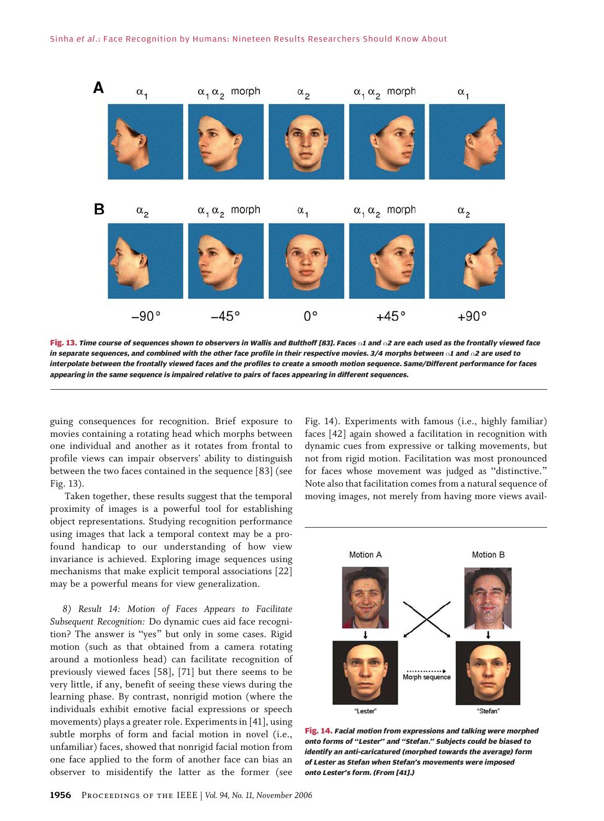

Fig. 13. Time course of sequences shown to observers in Wallis and Bulthoff [83]. Faces  $\alpha$ 1 and  $\alpha$ 2 are each used as the frontally viewed face in separate sequences, and combined with the other face profile in their respective movies. 3/4 morphs between  $\alpha$ 1 and  $\alpha$ 2 are used to interpolate between the frontally viewed faces and the profiles to create a smooth motion sequence. Same/Different performance for faces appearing in the same sequence is impaired relative to pairs of faces appearing in different sequences.

guing consequences for recognition. Brief exposure to movies containing a rotating head which morphs between one individual and another as it rotates from frontal to profile views can impair observers' ability to distinguish between the two faces contained in the sequence [83] (see Fig. 13).

Taken together, these results suggest that the temporal proximity of images is a powerful tool for establishing object representations. Studying recognition performance using images that lack a temporal context may be a profound handicap to our understanding of how view invariance is achieved. Exploring image sequences using mechanisms that make explicit temporal associations [22] may be a powerful means for view generalization.

8) Result 14: Motion of Faces Appears to Facilitate Subsequent Recognition: Do dynamic cues aid face recognition? The answer is "yes" but only in some cases. Rigid motion (such as that obtained from a camera rotating around a motionless head) can facilitate recognition of previously viewed faces [58], [71] but there seems to be very little, if any, benefit of seeing these views during the learning phase. By contrast, nonrigid motion (where the individuals exhibit emotive facial expressions or speech movements) plays a greater role. Experiments in [41], using subtle morphs of form and facial motion in novel (i.e., unfamiliar) faces, showed that nonrigid facial motion from one face applied to the form of another face can bias an observer to misidentify the latter as the former (see

Fig. 14). Experiments with famous (i.e., highly familiar) faces [42] again showed a facilitation in recognition with dynamic cues from expressive or talking movements, but not from rigid motion. Facilitation was most pronounced for faces whose movement was judged as "distinctive." Note also that facilitation comes from a natural sequence of moving images, not merely from having more views avail-



Fig. 14. Facial motion from expressions and talking were morphed onto forms of ''Lester'' and ''Stefan.'' Subjects could be biased to identify an anti-caricatured (morphed towards the average) form of Lester as Stefan when Stefan's movements were imposed onto Lester's form. (From [41].)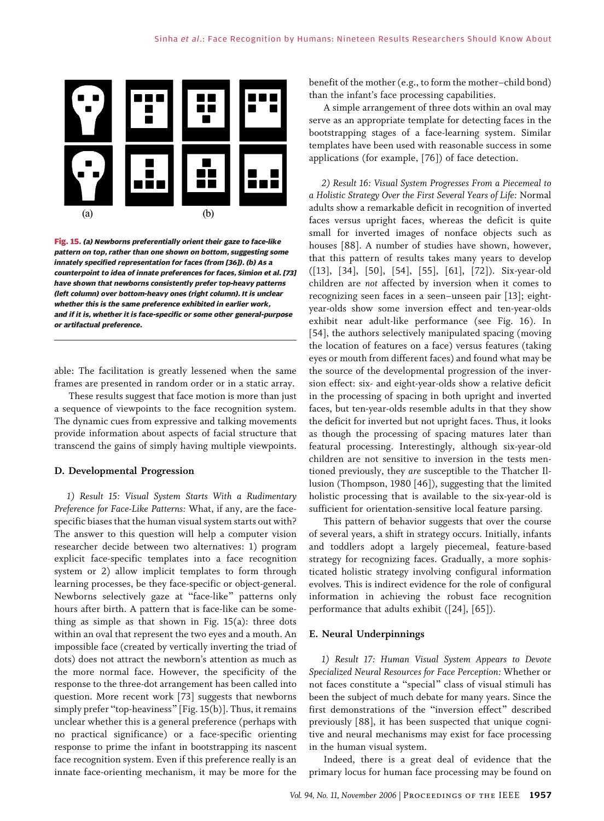

Fig. 15. (a) Newborns preferentially orient their gaze to face-like pattern on top, rather than one shown on bottom, suggesting some innately specified representation for faces (from [36]). (b) As a counterpoint to idea of innate preferences for faces, Simion et al. [73] have shown that newborns consistently prefer top-heavy patterns (left column) over bottom-heavy ones (right column). It is unclear whether this is the same preference exhibited in earlier work, and if it is, whether it is face-specific or some other general-purpose or artifactual preference.

able: The facilitation is greatly lessened when the same frames are presented in random order or in a static array.

These results suggest that face motion is more than just a sequence of viewpoints to the face recognition system. The dynamic cues from expressive and talking movements provide information about aspects of facial structure that transcend the gains of simply having multiple viewpoints.

## D. Developmental Progression

1) Result 15: Visual System Starts With a Rudimentary Preference for Face-Like Patterns: What, if any, are the facespecific biases that the human visual system starts out with? The answer to this question will help a computer vision researcher decide between two alternatives: 1) program explicit face-specific templates into a face recognition system or 2) allow implicit templates to form through learning processes, be they face-specific or object-general. Newborns selectively gaze at "face-like" patterns only hours after birth. A pattern that is face-like can be something as simple as that shown in Fig.  $15(a)$ : three dots within an oval that represent the two eyes and a mouth. An impossible face (created by vertically inverting the triad of dots) does not attract the newborn's attention as much as the more normal face. However, the specificity of the response to the three-dot arrangement has been called into question. More recent work [73] suggests that newborns simply prefer "top-heaviness" [Fig. 15(b)]. Thus, it remains unclear whether this is a general preference (perhaps with no practical significance) or a face-specific orienting response to prime the infant in bootstrapping its nascent face recognition system. Even if this preference really is an innate face-orienting mechanism, it may be more for the benefit of the mother (e.g., to form the mother–child bond) than the infant's face processing capabilities.

A simple arrangement of three dots within an oval may serve as an appropriate template for detecting faces in the bootstrapping stages of a face-learning system. Similar templates have been used with reasonable success in some applications (for example, [76]) of face detection.

2) Result 16: Visual System Progresses From a Piecemeal to a Holistic Strategy Over the First Several Years of Life: Normal adults show a remarkable deficit in recognition of inverted faces versus upright faces, whereas the deficit is quite small for inverted images of nonface objects such as houses [88]. A number of studies have shown, however, that this pattern of results takes many years to develop ([13], [34], [50], [54], [55], [61], [72]). Six-year-old children are not affected by inversion when it comes to recognizing seen faces in a seen–unseen pair [13]; eightyear-olds show some inversion effect and ten-year-olds exhibit near adult-like performance (see Fig. 16). In [54], the authors selectively manipulated spacing (moving the location of features on a face) versus features (taking eyes or mouth from different faces) and found what may be the source of the developmental progression of the inversion effect: six- and eight-year-olds show a relative deficit in the processing of spacing in both upright and inverted faces, but ten-year-olds resemble adults in that they show the deficit for inverted but not upright faces. Thus, it looks as though the processing of spacing matures later than featural processing. Interestingly, although six-year-old children are not sensitive to inversion in the tests mentioned previously, they are susceptible to the Thatcher Illusion (Thompson, 1980 [46]), suggesting that the limited holistic processing that is available to the six-year-old is sufficient for orientation-sensitive local feature parsing.

This pattern of behavior suggests that over the course of several years, a shift in strategy occurs. Initially, infants and toddlers adopt a largely piecemeal, feature-based strategy for recognizing faces. Gradually, a more sophisticated holistic strategy involving configural information evolves. This is indirect evidence for the role of configural information in achieving the robust face recognition performance that adults exhibit ([24], [65]).

## E. Neural Underpinnings

1) Result 17: Human Visual System Appears to Devote Specialized Neural Resources for Face Perception: Whether or not faces constitute a "special" class of visual stimuli has been the subject of much debate for many years. Since the first demonstrations of the "inversion effect" described previously [88], it has been suspected that unique cognitive and neural mechanisms may exist for face processing in the human visual system.

Indeed, there is a great deal of evidence that the primary locus for human face processing may be found on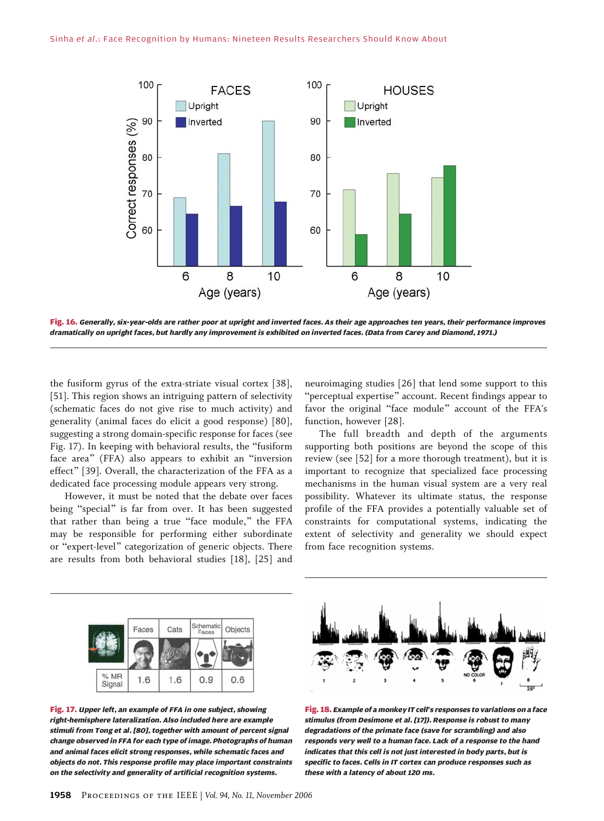

Fig. 16. Generally, six-year-olds are rather poor at upright and inverted faces. As their age approaches ten years, their performance improves dramatically on upright faces, but hardly any improvement is exhibited on inverted faces. (Data from Carey and Diamond, 1971.)

the fusiform gyrus of the extra-striate visual cortex [38], [51]. This region shows an intriguing pattern of selectivity (schematic faces do not give rise to much activity) and generality (animal faces do elicit a good response) [80], suggesting a strong domain-specific response for faces (see Fig. 17). In keeping with behavioral results, the "fusiform face area" (FFA) also appears to exhibit an "inversion effect" [39]. Overall, the characterization of the FFA as a dedicated face processing module appears very strong.

However, it must be noted that the debate over faces being "special" is far from over. It has been suggested that rather than being a true "face module," the FFA may be responsible for performing either subordinate or "expert-level" categorization of generic objects. There are results from both behavioral studies [18], [25] and neuroimaging studies [26] that lend some support to this "perceptual expertise" account. Recent findings appear to favor the original "face module" account of the FFA's function, however [28].

The full breadth and depth of the arguments supporting both positions are beyond the scope of this review (see [52] for a more thorough treatment), but it is important to recognize that specialized face processing mechanisms in the human visual system are a very real possibility. Whatever its ultimate status, the response profile of the FFA provides a potentially valuable set of constraints for computational systems, indicating the extent of selectivity and generality we should expect from face recognition systems.



Fig. 17. Upper left, an example of FFA in one subject, showing right-hemisphere lateralization. Also included here are example stimuli from Tong et al. [80], together with amount of percent signal change observed in FFA for each type of image. Photographs of human and animal faces elicit strong responses, while schematic faces and objects do not. This response profile may place important constraints on the selectivity and generality of artificial recognition systems.



Fig. 18. Example of a monkey IT cell's responses to variations on a face stimulus (from Desimone et al. [17]). Response is robust to many degradations of the primate face (save for scrambling) and also responds very well to a human face. Lack of a response to the hand indicates that this cell is not just interested in body parts, but is specific to faces. Cells in IT cortex can produce responses such as these with a latency of about 120 ms.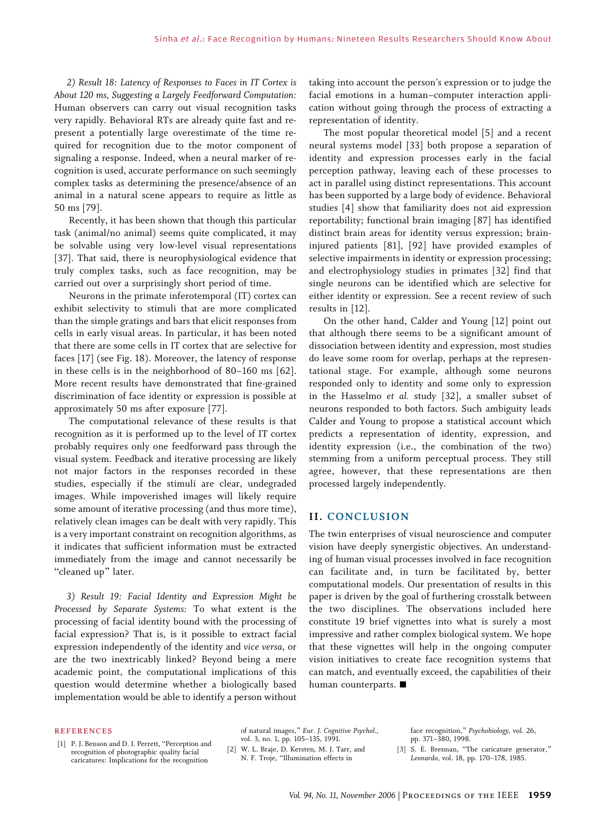2) Result 18: Latency of Responses to Faces in IT Cortex is About 120 ms, Suggesting a Largely Feedforward Computation: Human observers can carry out visual recognition tasks very rapidly. Behavioral RTs are already quite fast and represent a potentially large overestimate of the time required for recognition due to the motor component of signaling a response. Indeed, when a neural marker of recognition is used, accurate performance on such seemingly complex tasks as determining the presence/absence of an animal in a natural scene appears to require as little as 50 ms [79].

Recently, it has been shown that though this particular task (animal/no animal) seems quite complicated, it may be solvable using very low-level visual representations [37]. That said, there is neurophysiological evidence that truly complex tasks, such as face recognition, may be carried out over a surprisingly short period of time.

Neurons in the primate inferotemporal (IT) cortex can exhibit selectivity to stimuli that are more complicated than the simple gratings and bars that elicit responses from cells in early visual areas. In particular, it has been noted that there are some cells in IT cortex that are selective for faces [17] (see Fig. 18). Moreover, the latency of response in these cells is in the neighborhood of 80–160 ms [62]. More recent results have demonstrated that fine-grained discrimination of face identity or expression is possible at approximately 50 ms after exposure [77].

The computational relevance of these results is that recognition as it is performed up to the level of IT cortex probably requires only one feedforward pass through the visual system. Feedback and iterative processing are likely not major factors in the responses recorded in these studies, especially if the stimuli are clear, undegraded images. While impoverished images will likely require some amount of iterative processing (and thus more time), relatively clean images can be dealt with very rapidly. This is a very important constraint on recognition algorithms, as it indicates that sufficient information must be extracted immediately from the image and cannot necessarily be "cleaned up" later.

3) Result 19: Facial Identity and Expression Might be Processed by Separate Systems: To what extent is the processing of facial identity bound with the processing of facial expression? That is, is it possible to extract facial expression independently of the identity and vice versa, or are the two inextricably linked? Beyond being a mere academic point, the computational implications of this question would determine whether a biologically based implementation would be able to identify a person without

taking into account the person's expression or to judge the facial emotions in a human–computer interaction application without going through the process of extracting a representation of identity.

The most popular theoretical model [5] and a recent neural systems model [33] both propose a separation of identity and expression processes early in the facial perception pathway, leaving each of these processes to act in parallel using distinct representations. This account has been supported by a large body of evidence. Behavioral studies [4] show that familiarity does not aid expression reportability; functional brain imaging [87] has identified distinct brain areas for identity versus expression; braininjured patients [81], [92] have provided examples of selective impairments in identity or expression processing; and electrophysiology studies in primates [32] find that single neurons can be identified which are selective for either identity or expression. See a recent review of such results in [12].

On the other hand, Calder and Young [12] point out that although there seems to be a significant amount of dissociation between identity and expression, most studies do leave some room for overlap, perhaps at the representational stage. For example, although some neurons responded only to identity and some only to expression in the Hasselmo et al. study [32], a smaller subset of neurons responded to both factors. Such ambiguity leads Calder and Young to propose a statistical account which predicts a representation of identity, expression, and identity expression (i.e., the combination of the two) stemming from a uniform perceptual process. They still agree, however, that these representations are then processed largely independently.

# II. CONCLUSION

The twin enterprises of visual neuroscience and computer vision have deeply synergistic objectives. An understanding of human visual processes involved in face recognition can facilitate and, in turn be facilitated by, better computational models. Our presentation of results in this paper is driven by the goal of furthering crosstalk between the two disciplines. The observations included here constitute 19 brief vignettes into what is surely a most impressive and rather complex biological system. We hope that these vignettes will help in the ongoing computer vision initiatives to create face recognition systems that can match, and eventually exceed, the capabilities of their human counterparts.  $\blacksquare$ 

#### REFERENCES

[1] P. J. Benson and D. I. Perrett, "Perception and recognition of photographic quality facial caricatures: Implications for the recognition

of natural images," Eur. J. Cognitive Psychol., vol. 3, no. 1, pp. 105–135, 1991.

[2] W. L. Braje, D. Kersten, M. J. Tarr, and N. F. Troje, "Illumination effects in

face recognition," Psychobiology, vol. 26, pp. 371–380, 1998.

[3] S. E. Brennan, "The caricature generator," Leonardo, vol. 18, pp. 170–178, 1985.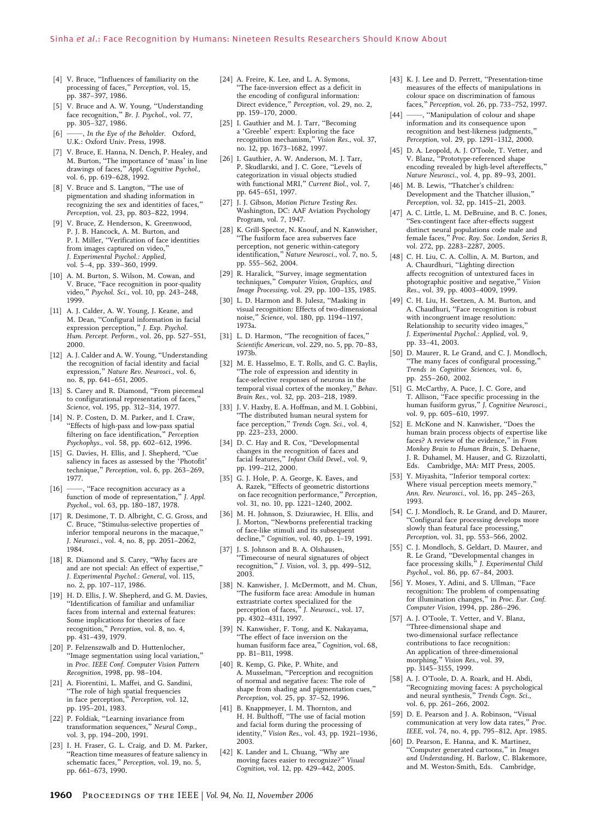- [4] V. Bruce, "Influences of familiarity on the processing of faces," Perception, vol. 15, pp. 387–397, 1986.
- [5] V. Bruce and A. W. Young, "Understanding face recognition," Br. J. Psychol., vol. 77, pp. 305–327, 1986.
- [6]  $\longrightarrow$ , In the Eye of the Beholder. Oxford, U.K.: Oxford Univ. Press, 1998.
- [7] V. Bruce, E. Hanna, N. Dench, P. Healey, and M. Burton, "The importance of 'mass' in line drawings of faces," Appl. Cognitive Psychol., vol. 6, pp. 619–628, 1992.
- [8] V. Bruce and S. Langton, "The use of pigmentation and shading information in recognizing the sex and identities of faces," Perception, vol. 23, pp. 803–822, 1994.
- [9] V. Bruce, Z. Henderson, K. Greenwood, P. J. B. Hancock, A. M. Burton, and P. I. Miller, "Verification of face identities from images captured on video,[ J. Experimental Psychol.: Applied, vol. 5–4, pp. 339–360, 1999.
- [10] A. M. Burton, S. Wilson, M. Cowan, and V. Bruce, "Face recognition in poor-quality video," Psychol. Sci., vol. 10, pp. 243-248, 1999.
- [11] A. J. Calder, A. W. Young, J. Keane, and M. Dean, "Configural information in facial expression perception," J. Exp. Psychol. Hum. Percept. Perform., vol. 26, pp. 527–551, 2000.
- [12] A. J. Calder and A. W. Young, "Understanding the recognition of facial identity and facial expression," Nature Rev. Neurosci., vol. 6, no. 8, pp. 641–651, 2005.
- [13] S. Carey and R. Diamond, "From piecemeal to configurational representation of faces, Science, vol. 195, pp. 312–314, 1977.
- [14] N. P. Costen, D. M. Parker, and I. Craw, BEffects of high-pass and low-pass spatial filtering on face identification," Perception Psychophys., vol. 58, pp. 602–612, 1996.
- [15] G. Davies, H. Ellis, and J. Shepherd, "Cue saliency in faces as assessed by the 'Photofit' technique," Perception, vol. 6, pp. 263-269, 1977.
- [16]  $\longrightarrow$ , "Face recognition accuracy as a function of mode of representation," J. Appl. Psychol., vol. 63, pp. 180–187, 1978.
- [17] R. Desimone, T. D. Albright, C. G. Gross, and C. Bruce, "Stimulus-selective properties of inferior temporal neurons in the macaque," J. Neurosci., vol. 4, no. 8, pp. 2051–2062, 1984.
- [18] R. Diamond and S. Carey, "Why faces are and are not special: An effect of expertise, J. Experimental Psychol.: General, vol. 115, no. 2, pp. 107–117, 1986.
- [19] H. D. Ellis, J. W. Shepherd, and G. M. Davies, BIdentification of familiar and unfamiliar faces from internal and external features: Some implications for theories of face recognition," Perception, vol. 8, no. 4, pp. 431–439, 1979.
- [20] P. Felzenszwalb and D. Huttenlocher, "Image segmentation using local variation," in Proc. IEEE Conf. Computer Vision Pattern Recognition, 1998, pp. 98–104.
- [21] A. Fiorentini, L. Maffei, and G. Sandini, "The role of high spatial frequencies in face perception," Perception, vol. 12, pp. 195–201, 1983.
- [22] P. Foldiak, "Learning invariance from transformation sequences," Neural Comp., vol. 3, pp. 194–200, 1991.
- [23] I. H. Fraser, G. L. Craig, and D. M. Parker, "Reaction time measures of feature saliency in schematic faces," Perception, vol. 19, no. 5, pp. 661–673, 1990.
- [24] A. Freire, K. Lee, and L. A. Symons, The face-inversion effect as a deficit in the encoding of configural information: Direct evidence," Perception, vol. 29, no. 2, pp. 159–170, 2000.
- [25] I. Gauthier and M. J. Tarr, "Becoming a 'Greeble' expert: Exploring the face recognition mechanism," Vision Res., vol. 37, no. 12, pp. 1673–1682, 1997.
- [26] I. Gauthier, A. W. Anderson, M. J. Tarr, P. Skudlarski, and J. C. Gore, "Levels of categorization in visual objects studied with functional MRI," Current Biol., vol. 7, pp. 645–651, 1997.
- [27] J. J. Gibson, Motion Picture Testing Res. Washington, DC: AAF Aviation Psychology Program, vol. 7, 1947.
- [28] K. Grill-Spector, N. Knouf, and N. Kanwisher, "The fusiform face area subserves face perception, not generic within-category identification," Nature Neurosci., vol. 7, no. 5, pp. 555–562, 2004.
- [29] R. Haralick, "Survey, image segmentation<br>techniques," Computer Vision, Graphics, and Image Processing, vol. 29, pp. 100–135, 1985.
- [30] L. D. Harmon and B. Julesz, "Masking in visual recognition: Effects of two-dimensional noise," Science, vol. 180, pp. 1194-1197, 1973a.
- [31] L. D. Harmon, "The recognition of faces," Scientific American, vol. 229, no. 5, pp. 70–83, 1973b.
- [32] M. E. Hasselmo, E. T. Rolls, and G. C. Baylis, "The role of expression and identity in face-selective responses of neurons in the temporal visual cortex of the monkey," Behav. Brain Res., vol. 32, pp. 203–218, 1989.
- [33] J. V. Haxby, E. A. Hoffman, and M. I. Gobbini, The distributed human neural system for face perception," Trends Cogn. Sci., vol. 4, pp. 223–233, 2000.
- [34] D. C. Hay and R. Cox, "Developmental changes in the recognition of faces and<br>facial features," Infant Child Devel., vol. 9, pp. 199–212, 2000.
- [35] G. J. Hole, P. A. George, K. Eaves, and A. Razek, "Effects of geometric distortions on face recognition performance," Perception, vol. 31, no. 10, pp. 1221–1240, 2002.
- [36] M. H. Johnson, S. Dziurawiec, H. Ellis, and J. Morton, "Newborns preferential tracking of face-like stimuli and its subsequent decline," Cognition, vol. 40, pp. 1-19, 1991.
- [37] J. S. Johnson and B. A. Olshausen, "Timecourse of neural signatures of object recognition," J. Vision, vol. 3, pp. 499–512, 2003.
- [38] N. Kanwisher, J. McDermott, and M. Chun, "The fusiform face area: Amodule in human extrastriate cortex specialized for the<br>perception of faces," J. Neurosci., vol. 17, pp. 4302–4311, 1997.
- [39] N. Kanwisher, F. Tong, and K. Nakayama, "The effect of face inversion on the human fusiform face area," Cognition, vol. 68, pp. B1–B11, 1998.
- [40] R. Kemp, G. Pike, P. White, and A. Musselman, "Perception and recognition of normal and negative faces: The role of shape from shading and pigmentation cues,[ Perception, vol. 25, pp. 37–52, 1996.
- [41] B. Knappmeyer, I. M. Thornton, and<br>H. H. Bulthoff, "The use of facial motion and facial form during the processing of identity," Vision Res., vol. 43, pp. 1921–1936, 2003.
- [42] K. Lander and L. Chuang, "Why are moving faces easier to recognize?" Visual Cognition, vol. 12, pp. 429–442, 2005.
- [43] K. J. Lee and D. Perrett, "Presentation-time measures of the effects of manipulations in colour space on discrimination of famous faces," Perception, vol. 26, pp. 733-752, 1997.
- [44]  $\longrightarrow$ , "Manipulation of colour and shape information and its consequence upon recognition and best-likeness judgments," Perception, vol. 29, pp. 1291–1312, 2000.
- [45] D. A. Leopold, A. J. O'Toole, T. Vetter, and V. Blanz, "Prototype-referenced shape encoding revealed by high-level aftereffects," Nature Neurosci., vol. 4, pp. 89–93, 2001.
- [46] M. B. Lewis, "Thatcher's children: Development and the Thatcher illusion," Perception, vol. 32, pp. 1415–21, 2003.
- [47] A. C. Little, L. M. DeBruine, and B. C. Jones, "Sex-contingent face after-effects suggest distinct neural populations code male and female faces," Proc. Roy. Soc. London, Series B, vol. 272, pp. 2283–2287, 2005.
- [48] C. H. Liu, C. A. Collin, A. M. Burton, and A. Chaurdhuri, "Lighting direction affects recognition of untextured faces in photographic positive and negative,[ Vision Res., vol. 39, pp. 4003–4009, 1999.
- [49] C. H. Liu, H. Seetzen, A. M. Burton, and A. Chaudhuri, "Face recognition is robust with incongruent image resolution: Relationship to security video images," J. Experimental Psychol.: Applied, vol. 9, pp. 33–41, 2003.
- [50] D. Maurer, R. Le Grand, and C. J. Mondloch, 'The many faces of configural processing,' Trends in Cognitive Sciences, vol. 6, pp. 255–260, 2002.
- [51] G. McCarthy, A. Puce, J. C. Gore, and T. Allison, "Face specific processing in the human fusiform gyrus," J. Cognitive Neurosci., vol. 9, pp. 605–610, 1997.
- [52] E. McKone and N. Kanwisher, "Does the human brain process objects of expertise like faces? A review of the evidence," in From Monkey Brain to Human Brain, S. Dehaene, J. R. Duhamel, M. Hauser, and G. Rizzolatti, Eds. Cambridge, MA: MIT Press, 2005.
- [53] Y. Miyashita, "Inferior temporal cortex: Where visual perception meets memory, Ann. Rev. Neurosci., vol. 16, pp. 245–263, 1993.
- [54] C. J. Mondloch, R. Le Grand, and D. Maurer, "Configural face processing develops more slowly than featural face processing, Perception, vol. 31, pp. 553-566, 2002.
- [55] C. J. Mondloch, S. Geldart, D. Maurer, and R. Le Grand, "Developmental changes in<br>face processing skills," J. Experimental Child Psychol., vol. 86, pp. 67–84, 2003.
- [56] Y. Moses, Y. Adini, and S. Ullman, "Face recognition: The problem of compensating for illumination changes," in Proc. Eur. Conf. Computer Vision, 1994, pp. 286–296.
- [57] A. J. O'Toole, T. Vetter, and V. Blanz, "Three-dimensional shape and two-dimensional surface reflectance contributions to face recognition: An application of three-dimensional morphing," Vision Res., vol. 39, pp. 3145–3155, 1999.
- [58] A. J. O'Toole, D. A. Roark, and H. Abdi, BRecognizing moving faces: A psychological and neural synthesis,[ Trends Cogn. Sci., vol. 6, pp. 261–266, 2002.
- [59] D. E. Pearson and J. A. Robinson, "Visual communication at very low data rates," Proc IEEE, vol. 74, no. 4, pp. 795–812, Apr. 1985.
- [60] D. Pearson, E. Hanna, and K. Martinez, "Computer generated cartoons," in Images<br>and Understanding, H. Barlow, C. Blakemore, and M. Weston-Smith, Eds. Cambridge,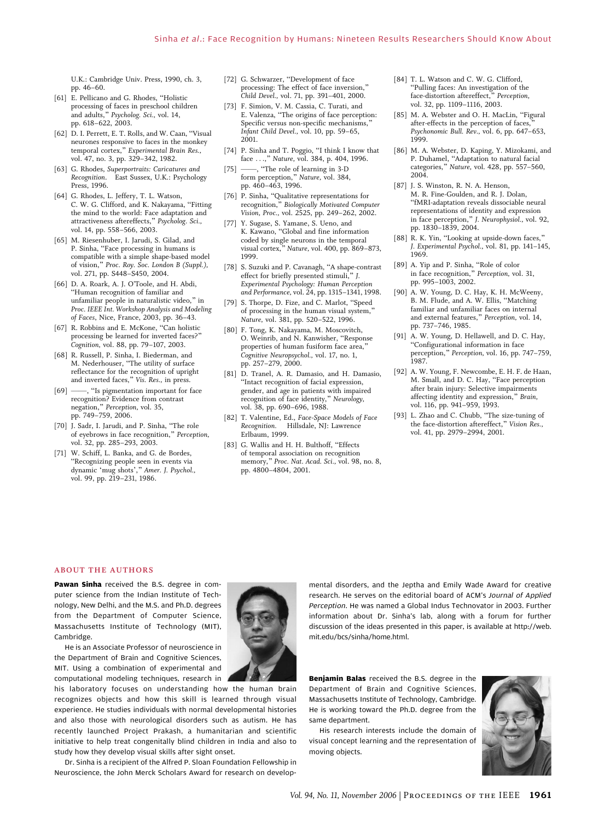U.K.: Cambridge Univ. Press, 1990, ch. 3, pp. 46–60.

- [61] E. Pellicano and G. Rhodes, "Holistic processing of faces in preschool children and adults," Psycholog. Sci., vol. 14, pp. 618–622, 2003.
- [62] D. I. Perrett, E. T. Rolls, and W. Caan, "Visual neurones responsive to faces in the monkey temporal cortex," Experimental Brain Res., vol. 47, no. 3, pp. 329–342, 1982.
- [63] G. Rhodes, Superportraits: Caricatures and Recognition. East Sussex, U.K.: Psychology Press, 1996.
- [64] G. Rhodes, L. Jeffery, T. L. Watson, C. W. G. Clifford, and K. Nakayama, "Fitting the mind to the world: Face adaptation and attractiveness aftereffects," Psycholog. Sci., vol. 14, pp. 558–566, 2003.
- [65] M. Riesenhuber, I. Jarudi, S. Gilad, and P. Sinha, "Face processing in humans is compatible with a simple shape-based model of vision," Proc. Roy. Soc. London B (Suppl.), vol. 271, pp. S448–S450, 2004.
- [66] D. A. Roark, A. J. O'Toole, and H. Abdi, "Human recognition of familiar and unfamiliar people in naturalistic video," in<br>Proc. IEEE Int. Workshop Analysis and Modeling of Faces, Nice, France, 2003, pp. 36–43.
- [67] R. Robbins and E. McKone, "Can holistic processing be learned for inverted faces?" Cognition, vol. 88, pp. 79–107, 2003.
- [68] R. Russell, P. Sinha, I. Biederman, and M. Nederhouser, "The utility of surface reflectance for the recognition of upright<br>and inverted faces," Vis. Res., in press.
- [69]  $\longrightarrow$ , "Is pigmentation important for face recognition? Evidence from contrast negation," Perception, vol. 35, pp. 749–759, 2006.
- [70] J. Sadr, I. Jarudi, and P. Sinha, "The role of eyebrows in face recognition," Perception, vol. 32, pp. 285–293, 2003.
- [71] W. Schiff, L. Banka, and G. de Bordes, "Recognizing people seen in events via<br>dynamic 'mug shots'," *Amer. J. Psychol.*, vol. 99, pp. 219–231, 1986.
- [72] G. Schwarzer, "Development of face processing: The effect of face inversion,[ Child Devel., vol. 71, pp. 391–401, 2000.
- [73] F. Simion, V. M. Cassia, C. Turati, and E. Valenza, "The origins of face perception: Specific versus non-specific mechanisms," Infant Child Devel., vol. 10, pp. 59–65, 2001.
- [74] P. Sinha and T. Poggio, "I think I know that face ...," Nature, vol. 384, p. 404, 1996.
- [75]  $\longrightarrow$ , "The role of learning in 3-D form perception," Nature, vol. 384, pp. 460–463, 1996.
- [76] P. Sinha, "Qualitative representations for recognition," Biologically Motivated Computer Vision, Proc., vol. 2525, pp. 249–262, 2002.
- [77] Y. Sugase, S. Yamane, S. Ueno, and K. Kawano, "Global and fine information coded by single neurons in the temporal visual cortex," Nature, vol. 400, pp. 869-873, 1999.
- [78] S. Suzuki and P. Cavanagh, "A shape-contrast effect for briefly presented stimuli," J. Experimental Psychology: Human Perception and Performance, vol. 24, pp. 1315–1341, 1998.
- [79] S. Thorpe, D. Fize, and C. Marlot, "Speed of processing in the human visual system,' Nature, vol. 381, pp. 520–522, 1996.
- [80] F. Tong, K. Nakayama, M. Moscovitch, O. Weinrib, and N. Kanwisher, "Response properties of human fusiform face area,' Cognitive Neuropsychol., vol. 17, no. 1, pp. 257-279, 2000.
- [81] D. Tranel, A. R. Damasio, and H. Damasio, "Intact recognition of facial expression, gender, and age in patients with impaired<br>recognition of face identity," Neurology, vol. 38, pp. 690–696, 1988.
- [82] T. Valentine, Ed., Face-Space Models of Face Recognition. Hillsdale, NJ: Lawrence Erlbaum, 1999.
- [83] G. Wallis and H. H. Bulthoff, "Effects of temporal association on recognition memory," Proc. Nat. Acad. Sci., vol. 98, no. 8, pp. 4800–4804, 2001.
- [84] T. L. Watson and C. W. G. Clifford, "Pulling faces: An investigation of the<br>face-distortion aftereffect," Perception, vol. 32, pp. 1109–1116, 2003.
- [85] M. A. Webster and O. H. MacLin, "Figural after-effects in the perception of faces, Psychonomic Bull. Rev., vol. 6, pp. 647–653, 1999.
- [86] M. A. Webster, D. Kaping, Y. Mizokami, and P. Duhamel, "Adaptation to natural facial categories," Nature, vol. 428, pp. 557–560, 2004.
- [87] J. S. Winston, R. N. A. Henson, M. R. Fine-Goulden, and R. J. Dolan, "fMRI-adaptation reveals dissociable neural representations of identity and expression in face perception," J. Neurophysiol., vol. 92, pp. 1830–1839, 2004.
- [88] R. K. Yin, "Looking at upside-down faces," J. Experimental Psychol., vol. 81, pp. 141–145, 1969.
- [89] A. Yip and P. Sinha, "Role of color<br>in face recognition," Perception, vol. 31, pp. 995-1003, 2002.
- [90] A. W. Young, D. C. Hay, K. H. McWeeny, B. M. Flude, and A. W. Ellis, "Matching familiar and unfamiliar faces on internal and external features," Perception, vol. 14, pp. 737–746, 1985.
- [91] A. W. Young, D. Hellawell, and D. C. Hay, "Configurational information in face perception," Perception, vol. 16, pp. 747–759, 1987.
- [92] A. W. Young, F. Newcombe, E. H. F. de Haan, M. Small, and D. C. Hay, "Face perception after brain injury: Selective impairments affecting identity and expression," Brain, vol. 116, pp. 941–959, 1993.
- [93] L. Zhao and C. Chubb, "The size-tuning of the face-distortion aftereffect," Vision Res., vol. 41, pp. 2979–2994, 2001.

#### ABOUT THE AUTHORS

Pawan Sinha received the B.S. degree in computer science from the Indian Institute of Technology, New Delhi, and the M.S. and Ph.D. degrees from the Department of Computer Science, Massachusetts Institute of Technology (MIT), Cambridge.

He is an Associate Professor of neuroscience in the Department of Brain and Cognitive Sciences, MIT. Using a combination of experimental and computational modeling techniques, research in

his laboratory focuses on understanding how the human brain recognizes objects and how this skill is learned through visual experience. He studies individuals with normal developmental histories and also those with neurological disorders such as autism. He has recently launched Project Prakash, a humanitarian and scientific initiative to help treat congenitally blind children in India and also to study how they develop visual skills after sight onset.

Dr. Sinha is a recipient of the Alfred P. Sloan Foundation Fellowship in Neuroscience, the John Merck Scholars Award for research on develop-



mental disorders, and the Jeptha and Emily Wade Award for creative research. He serves on the editorial board of ACM's Journal of Applied Perception. He was named a Global Indus Technovator in 2003. Further information about Dr. Sinha's lab, along with a forum for further discussion of the ideas presented in this paper, is available at http://web. mit.edu/bcs/sinha/home.html.

Benjamin Balas received the B.S. degree in the Department of Brain and Cognitive Sciences, Massachusetts Institute of Technology, Cambridge. He is working toward the Ph.D. degree from the same department.

His research interests include the domain of visual concept learning and the representation of moving objects.